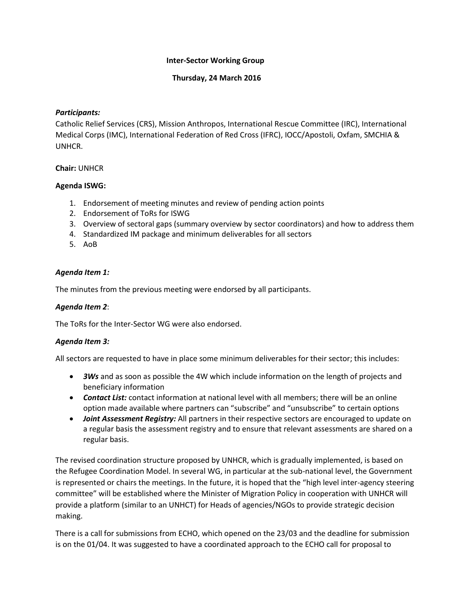## **Inter-Sector Working Group**

#### **Thursday, 24 March 2016**

## *Participants:*

Catholic Relief Services (CRS), Mission Anthropos, International Rescue Committee (IRC), International Medical Corps (IMC), International Federation of Red Cross (IFRC), IOCC/Apostoli, Oxfam, SMCHIA & UNHCR.

#### **Chair:** UNHCR

#### **Agenda ISWG:**

- 1. Endorsement of meeting minutes and review of pending action points
- 2. Endorsement of ToRs for ISWG
- 3. Overview of sectoral gaps (summary overview by sector coordinators) and how to address them
- 4. Standardized IM package and minimum deliverables for all sectors
- 5. AoB

## *Agenda Item 1:*

The minutes from the previous meeting were endorsed by all participants.

## *Agenda Item 2*:

The ToRs for the Inter-Sector WG were also endorsed.

## *Agenda Item 3:*

All sectors are requested to have in place some minimum deliverables for their sector; this includes:

- *3Ws* and as soon as possible the 4W which include information on the length of projects and beneficiary information
- *Contact List:* contact information at national level with all members; there will be an online option made available where partners can "subscribe" and "unsubscribe" to certain options
- *Joint Assessment Registry:* All partners in their respective sectors are encouraged to update on a regular basis the assessment registry and to ensure that relevant assessments are shared on a regular basis.

The revised coordination structure proposed by UNHCR, which is gradually implemented, is based on the Refugee Coordination Model. In several WG, in particular at the sub-national level, the Government is represented or chairs the meetings. In the future, it is hoped that the "high level inter-agency steering committee" will be established where the Minister of Migration Policy in cooperation with UNHCR will provide a platform (similar to an UNHCT) for Heads of agencies/NGOs to provide strategic decision making.

There is a call for submissions from ECHO, which opened on the 23/03 and the deadline for submission is on the 01/04. It was suggested to have a coordinated approach to the ECHO call for proposal to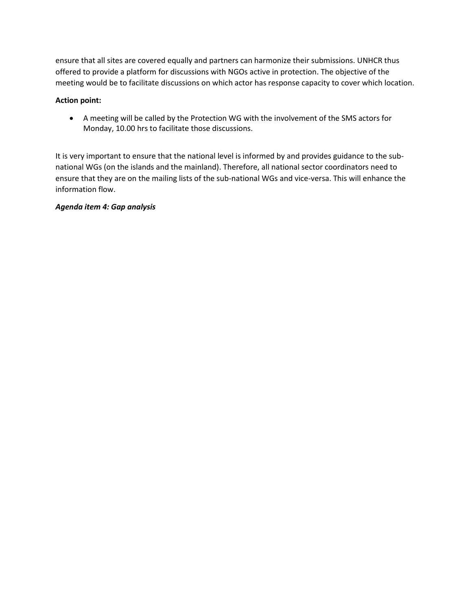ensure that all sites are covered equally and partners can harmonize their submissions. UNHCR thus offered to provide a platform for discussions with NGOs active in protection. The objective of the meeting would be to facilitate discussions on which actor has response capacity to cover which location.

# **Action point:**

 A meeting will be called by the Protection WG with the involvement of the SMS actors for Monday, 10.00 hrs to facilitate those discussions.

It is very important to ensure that the national level is informed by and provides guidance to the subnational WGs (on the islands and the mainland). Therefore, all national sector coordinators need to ensure that they are on the mailing lists of the sub-national WGs and vice-versa. This will enhance the information flow.

## *Agenda item 4: Gap analysis*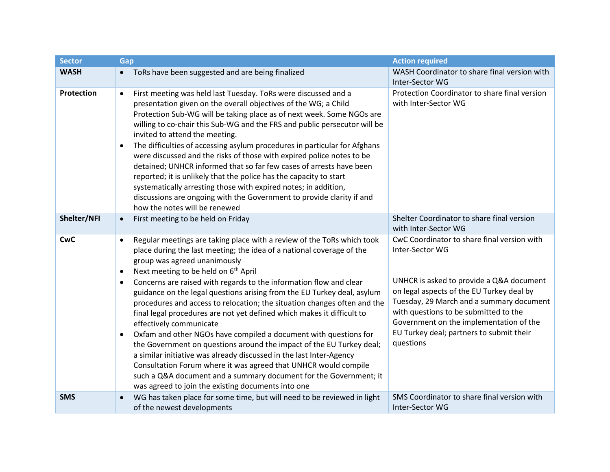| <b>Sector</b> | Gap                                                                                                                                                                                                                                                                                                                                                                                                                                                                                                                                                                                                                                                                                                                                                                                                                                                                                                                                                                                                                                        | <b>Action required</b>                                                                                                                                                                                                                                                                                                                           |
|---------------|--------------------------------------------------------------------------------------------------------------------------------------------------------------------------------------------------------------------------------------------------------------------------------------------------------------------------------------------------------------------------------------------------------------------------------------------------------------------------------------------------------------------------------------------------------------------------------------------------------------------------------------------------------------------------------------------------------------------------------------------------------------------------------------------------------------------------------------------------------------------------------------------------------------------------------------------------------------------------------------------------------------------------------------------|--------------------------------------------------------------------------------------------------------------------------------------------------------------------------------------------------------------------------------------------------------------------------------------------------------------------------------------------------|
| <b>WASH</b>   | ToRs have been suggested and are being finalized<br>$\bullet$                                                                                                                                                                                                                                                                                                                                                                                                                                                                                                                                                                                                                                                                                                                                                                                                                                                                                                                                                                              | WASH Coordinator to share final version with<br>Inter-Sector WG                                                                                                                                                                                                                                                                                  |
| Protection    | First meeting was held last Tuesday. ToRs were discussed and a<br>$\bullet$<br>presentation given on the overall objectives of the WG; a Child<br>Protection Sub-WG will be taking place as of next week. Some NGOs are<br>willing to co-chair this Sub-WG and the FRS and public persecutor will be<br>invited to attend the meeting.<br>The difficulties of accessing asylum procedures in particular for Afghans<br>$\bullet$<br>were discussed and the risks of those with expired police notes to be<br>detained; UNHCR informed that so far few cases of arrests have been<br>reported; it is unlikely that the police has the capacity to start<br>systematically arresting those with expired notes; in addition,<br>discussions are ongoing with the Government to provide clarity if and<br>how the notes will be renewed                                                                                                                                                                                                        | Protection Coordinator to share final version<br>with Inter-Sector WG                                                                                                                                                                                                                                                                            |
| Shelter/NFI   | First meeting to be held on Friday<br>$\bullet$                                                                                                                                                                                                                                                                                                                                                                                                                                                                                                                                                                                                                                                                                                                                                                                                                                                                                                                                                                                            | Shelter Coordinator to share final version<br>with Inter-Sector WG                                                                                                                                                                                                                                                                               |
| <b>CwC</b>    | Regular meetings are taking place with a review of the ToRs which took<br>$\bullet$<br>place during the last meeting; the idea of a national coverage of the<br>group was agreed unanimously<br>Next meeting to be held on 6 <sup>th</sup> April<br>$\bullet$<br>Concerns are raised with regards to the information flow and clear<br>$\bullet$<br>guidance on the legal questions arising from the EU Turkey deal, asylum<br>procedures and access to relocation; the situation changes often and the<br>final legal procedures are not yet defined which makes it difficult to<br>effectively communicate<br>Oxfam and other NGOs have compiled a document with questions for<br>$\bullet$<br>the Government on questions around the impact of the EU Turkey deal;<br>a similar initiative was already discussed in the last Inter-Agency<br>Consultation Forum where it was agreed that UNHCR would compile<br>such a Q&A document and a summary document for the Government; it<br>was agreed to join the existing documents into one | CwC Coordinator to share final version with<br>Inter-Sector WG<br>UNHCR is asked to provide a Q&A document<br>on legal aspects of the EU Turkey deal by<br>Tuesday, 29 March and a summary document<br>with questions to be submitted to the<br>Government on the implementation of the<br>EU Turkey deal; partners to submit their<br>questions |
| <b>SMS</b>    | WG has taken place for some time, but will need to be reviewed in light<br>of the newest developments                                                                                                                                                                                                                                                                                                                                                                                                                                                                                                                                                                                                                                                                                                                                                                                                                                                                                                                                      | SMS Coordinator to share final version with<br>Inter-Sector WG                                                                                                                                                                                                                                                                                   |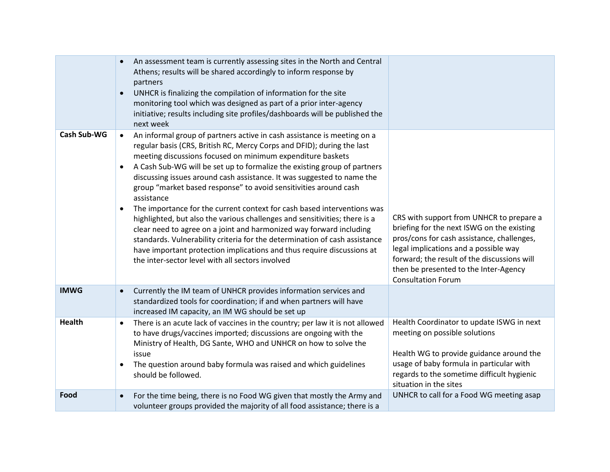|                    |                        | An assessment team is currently assessing sites in the North and Central<br>Athens; results will be shared accordingly to inform response by<br>partners                                                                                                                                                                                                                                                                                 |                                                                                                                                                                                                                                                                                                    |
|--------------------|------------------------|------------------------------------------------------------------------------------------------------------------------------------------------------------------------------------------------------------------------------------------------------------------------------------------------------------------------------------------------------------------------------------------------------------------------------------------|----------------------------------------------------------------------------------------------------------------------------------------------------------------------------------------------------------------------------------------------------------------------------------------------------|
|                    | $\bullet$              | UNHCR is finalizing the compilation of information for the site<br>monitoring tool which was designed as part of a prior inter-agency<br>initiative; results including site profiles/dashboards will be published the<br>next week                                                                                                                                                                                                       |                                                                                                                                                                                                                                                                                                    |
| <b>Cash Sub-WG</b> | $\bullet$              | An informal group of partners active in cash assistance is meeting on a<br>regular basis (CRS, British RC, Mercy Corps and DFID); during the last<br>meeting discussions focused on minimum expenditure baskets                                                                                                                                                                                                                          |                                                                                                                                                                                                                                                                                                    |
|                    | $\bullet$              | A Cash Sub-WG will be set up to formalize the existing group of partners<br>discussing issues around cash assistance. It was suggested to name the<br>group "market based response" to avoid sensitivities around cash<br>assistance                                                                                                                                                                                                     |                                                                                                                                                                                                                                                                                                    |
|                    | $\bullet$              | The importance for the current context for cash based interventions was<br>highlighted, but also the various challenges and sensitivities; there is a<br>clear need to agree on a joint and harmonized way forward including<br>standards. Vulnerability criteria for the determination of cash assistance<br>have important protection implications and thus require discussions at<br>the inter-sector level with all sectors involved | CRS with support from UNHCR to prepare a<br>briefing for the next ISWG on the existing<br>pros/cons for cash assistance, challenges,<br>legal implications and a possible way<br>forward; the result of the discussions will<br>then be presented to the Inter-Agency<br><b>Consultation Forum</b> |
| <b>IMWG</b>        | $\bullet$              | Currently the IM team of UNHCR provides information services and<br>standardized tools for coordination; if and when partners will have<br>increased IM capacity, an IM WG should be set up                                                                                                                                                                                                                                              |                                                                                                                                                                                                                                                                                                    |
| <b>Health</b>      | $\bullet$<br>$\bullet$ | There is an acute lack of vaccines in the country; per law it is not allowed<br>to have drugs/vaccines imported; discussions are ongoing with the<br>Ministry of Health, DG Sante, WHO and UNHCR on how to solve the<br>issue<br>The question around baby formula was raised and which guidelines<br>should be followed.                                                                                                                 | Health Coordinator to update ISWG in next<br>meeting on possible solutions<br>Health WG to provide guidance around the<br>usage of baby formula in particular with<br>regards to the sometime difficult hygienic                                                                                   |
| Food               | $\bullet$              | For the time being, there is no Food WG given that mostly the Army and<br>volunteer groups provided the majority of all food assistance; there is a                                                                                                                                                                                                                                                                                      | situation in the sites<br>UNHCR to call for a Food WG meeting asap                                                                                                                                                                                                                                 |